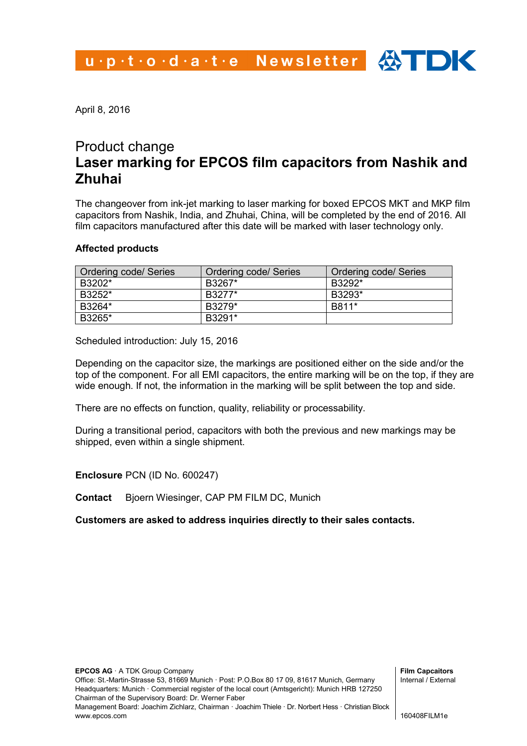April 8, 2016

## Product change **Laser marking for EPCOS film capacitors from Nashik and Zhuhai**

The changeover from ink-jet marking to laser marking for boxed EPCOS MKT and MKP film capacitors from Nashik, India, and Zhuhai, China, will be completed by the end of 2016. All film capacitors manufactured after this date will be marked with laser technology only.

## **Affected products**

| Ordering code/ Series | Ordering code/ Series | Ordering code/ Series |
|-----------------------|-----------------------|-----------------------|
| B3202*                | B3267*                | B3292*                |
| B3252*                | B3277*                | B3293*                |
| B3264*                | B3279*                | B811*                 |
| B3265*                | B3291*                |                       |

Scheduled introduction: July 15, 2016

Depending on the capacitor size, the markings are positioned either on the side and/or the top of the component. For all EMI capacitors, the entire marking will be on the top, if they are wide enough. If not, the information in the marking will be split between the top and side.

There are no effects on function, quality, reliability or processability.

During a transitional period, capacitors with both the previous and new markings may be shipped, even within a single shipment.

**Enclosure** PCN (ID No. 600247)

**Contact** Bjoern Wiesinger, CAP PM FILM DC, Munich

**Customers are asked to address inquiries directly to their sales contacts.**

**Film Capcaitors** Internal / External